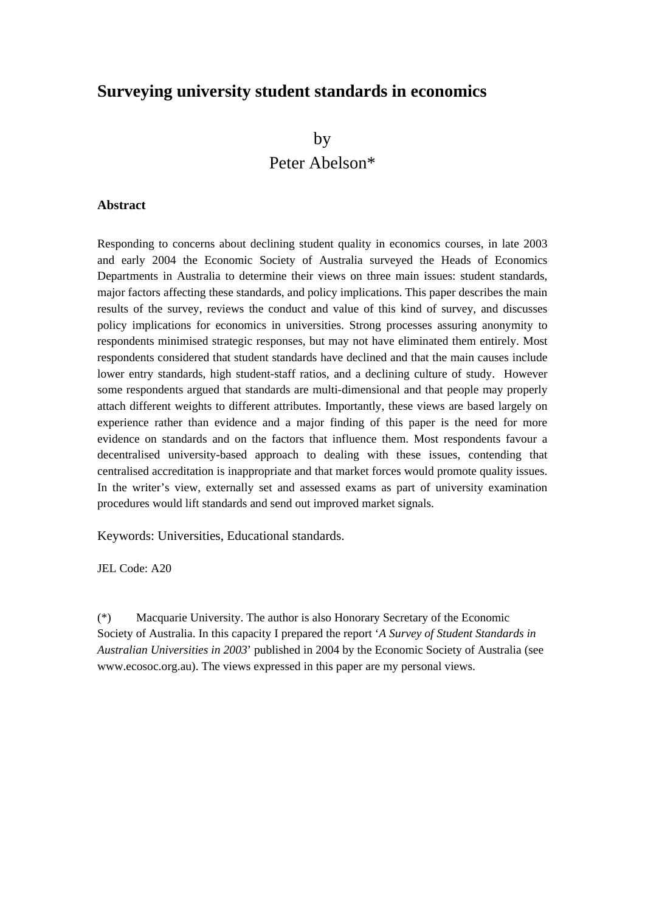# **Surveying university student standards in economics**

by

Peter Abelson\*

### **Abstract**

Responding to concerns about declining student quality in economics courses, in late 2003 and early 2004 the Economic Society of Australia surveyed the Heads of Economics Departments in Australia to determine their views on three main issues: student standards, major factors affecting these standards, and policy implications. This paper describes the main results of the survey, reviews the conduct and value of this kind of survey, and discusses policy implications for economics in universities. Strong processes assuring anonymity to respondents minimised strategic responses, but may not have eliminated them entirely. Most respondents considered that student standards have declined and that the main causes include lower entry standards, high student-staff ratios, and a declining culture of study. However some respondents argued that standards are multi-dimensional and that people may properly attach different weights to different attributes. Importantly, these views are based largely on experience rather than evidence and a major finding of this paper is the need for more evidence on standards and on the factors that influence them. Most respondents favour a decentralised university-based approach to dealing with these issues, contending that centralised accreditation is inappropriate and that market forces would promote quality issues. In the writer's view, externally set and assessed exams as part of university examination procedures would lift standards and send out improved market signals.

Keywords: Universities, Educational standards.

JEL Code: A20

(\*) Macquarie University. The author is also Honorary Secretary of the Economic Society of Australia. In this capacity I prepared the report '*A Survey of Student Standards in Australian Universities in 2003*' published in 2004 by the Economic Society of Australia (see www.ecosoc.org.au). The views expressed in this paper are my personal views.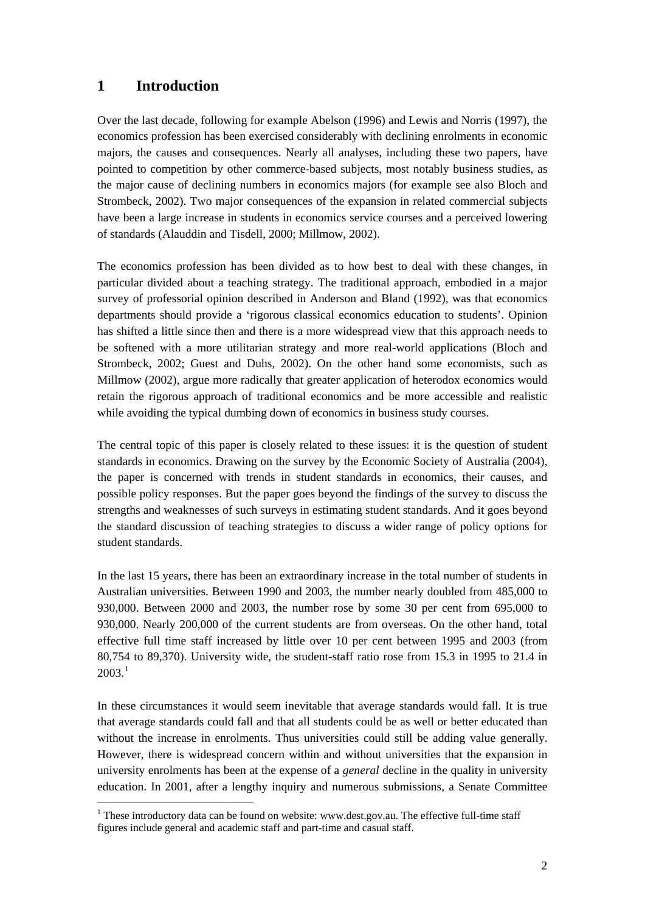### **1 Introduction**

 $\overline{a}$ 

Over the last decade, following for example Abelson (1996) and Lewis and Norris (1997), the economics profession has been exercised considerably with declining enrolments in economic majors, the causes and consequences. Nearly all analyses, including these two papers, have pointed to competition by other commerce-based subjects, most notably business studies, as the major cause of declining numbers in economics majors (for example see also Bloch and Strombeck, 2002). Two major consequences of the expansion in related commercial subjects have been a large increase in students in economics service courses and a perceived lowering of standards (Alauddin and Tisdell, 2000; Millmow, 2002).

The economics profession has been divided as to how best to deal with these changes, in particular divided about a teaching strategy. The traditional approach, embodied in a major survey of professorial opinion described in Anderson and Bland (1992), was that economics departments should provide a 'rigorous classical economics education to students'. Opinion has shifted a little since then and there is a more widespread view that this approach needs to be softened with a more utilitarian strategy and more real-world applications (Bloch and Strombeck, 2002; Guest and Duhs, 2002). On the other hand some economists, such as Millmow (2002), argue more radically that greater application of heterodox economics would retain the rigorous approach of traditional economics and be more accessible and realistic while avoiding the typical dumbing down of economics in business study courses.

The central topic of this paper is closely related to these issues: it is the question of student standards in economics. Drawing on the survey by the Economic Society of Australia (2004), the paper is concerned with trends in student standards in economics, their causes, and possible policy responses. But the paper goes beyond the findings of the survey to discuss the strengths and weaknesses of such surveys in estimating student standards. And it goes beyond the standard discussion of teaching strategies to discuss a wider range of policy options for student standards.

In the last 15 years, there has been an extraordinary increase in the total number of students in Australian universities. Between 1990 and 2003, the number nearly doubled from 485,000 to 930,000. Between 2000 and 2003, the number rose by some 30 per cent from 695,000 to 930,000. Nearly 200,000 of the current students are from overseas. On the other hand, total effective full time staff increased by little over 10 per cent between 1995 and 2003 (from 80,754 to 89,370). University wide, the student-staff ratio rose from 15.3 in 1995 to 21.4 in  $2003.<sup>1</sup>$  $2003.<sup>1</sup>$  $2003.<sup>1</sup>$ 

In these circumstances it would seem inevitable that average standards would fall. It is true that average standards could fall and that all students could be as well or better educated than without the increase in enrolments. Thus universities could still be adding value generally. However, there is widespread concern within and without universities that the expansion in university enrolments has been at the expense of a *general* decline in the quality in university education. In 2001, after a lengthy inquiry and numerous submissions, a Senate Committee

<span id="page-1-0"></span> $1$  These introductory data can be found on website: www.dest.gov.au. The effective full-time staff figures include general and academic staff and part-time and casual staff.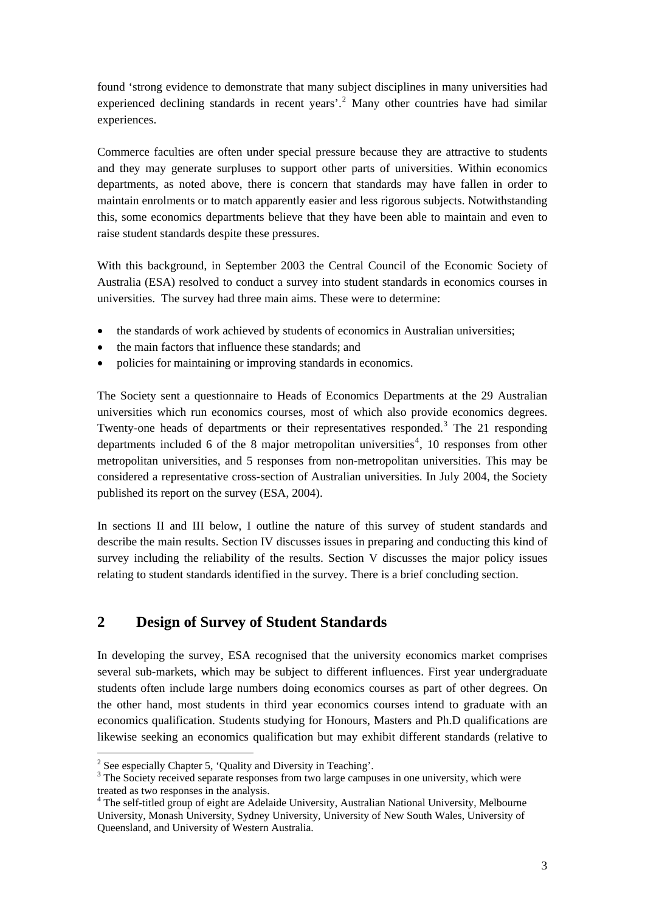found 'strong evidence to demonstrate that many subject disciplines in many universities had experienced declining standards in recent years'.<sup>[2](#page-2-0)</sup> Many other countries have had similar experiences.

Commerce faculties are often under special pressure because they are attractive to students and they may generate surpluses to support other parts of universities. Within economics departments, as noted above, there is concern that standards may have fallen in order to maintain enrolments or to match apparently easier and less rigorous subjects. Notwithstanding this, some economics departments believe that they have been able to maintain and even to raise student standards despite these pressures.

With this background, in September 2003 the Central Council of the Economic Society of Australia (ESA) resolved to conduct a survey into student standards in economics courses in universities. The survey had three main aims. These were to determine:

- the standards of work achieved by students of economics in Australian universities;
- the main factors that influence these standards; and
- policies for maintaining or improving standards in economics.

The Society sent a questionnaire to Heads of Economics Departments at the 29 Australian universities which run economics courses, most of which also provide economics degrees. Twenty-one heads of departments or their representatives responded.<sup>[3](#page-2-1)</sup> The 21 responding departments included 6 of the 8 major metropolitan universities<sup>[4](#page-2-2)</sup>, 10 responses from other metropolitan universities, and 5 responses from non-metropolitan universities. This may be considered a representative cross-section of Australian universities. In July 2004, the Society published its report on the survey (ESA, 2004).

In sections II and III below, I outline the nature of this survey of student standards and describe the main results. Section IV discusses issues in preparing and conducting this kind of survey including the reliability of the results. Section V discusses the major policy issues relating to student standards identified in the survey. There is a brief concluding section.

### **2 Design of Survey of Student Standards**

In developing the survey, ESA recognised that the university economics market comprises several sub-markets, which may be subject to different influences. First year undergraduate students often include large numbers doing economics courses as part of other degrees. On the other hand, most students in third year economics courses intend to graduate with an economics qualification. Students studying for Honours, Masters and Ph.D qualifications are likewise seeking an economics qualification but may exhibit different standards (relative to

 $\overline{a}$ 

<span id="page-2-0"></span><sup>&</sup>lt;sup>2</sup> See especially Chapter 5, 'Quality and Diversity in Teaching'.

<span id="page-2-1"></span> $3$  The Society received separate responses from two large campuses in one university, which were treated as two responses in the analysis.

<span id="page-2-2"></span><sup>&</sup>lt;sup>4</sup> The self-titled group of eight are Adelaide University, Australian National University, Melbourne University, Monash University, Sydney University, University of New South Wales, University of Queensland, and University of Western Australia.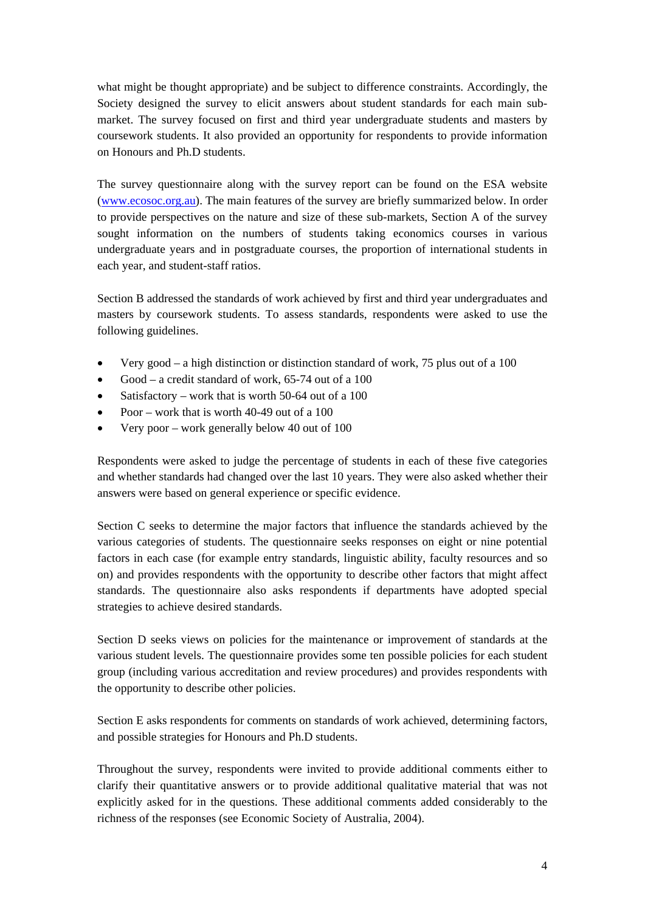what might be thought appropriate) and be subject to difference constraints. Accordingly, the Society designed the survey to elicit answers about student standards for each main submarket. The survey focused on first and third year undergraduate students and masters by coursework students. It also provided an opportunity for respondents to provide information on Honours and Ph.D students.

The survey questionnaire along with the survey report can be found on the ESA website ([www.ecosoc.org.au\)](http://www.ecosoc.org.au/). The main features of the survey are briefly summarized below. In order to provide perspectives on the nature and size of these sub-markets, Section A of the survey sought information on the numbers of students taking economics courses in various undergraduate years and in postgraduate courses, the proportion of international students in each year, and student-staff ratios.

Section B addressed the standards of work achieved by first and third year undergraduates and masters by coursework students. To assess standards, respondents were asked to use the following guidelines.

- Very good a high distinction or distinction standard of work, 75 plus out of a 100
- Good a credit standard of work,  $65-74$  out of a 100
- Satisfactory work that is worth 50-64 out of a 100
- Poor work that is worth 40-49 out of a 100
- Very poor work generally below 40 out of 100

Respondents were asked to judge the percentage of students in each of these five categories and whether standards had changed over the last 10 years. They were also asked whether their answers were based on general experience or specific evidence.

Section C seeks to determine the major factors that influence the standards achieved by the various categories of students. The questionnaire seeks responses on eight or nine potential factors in each case (for example entry standards, linguistic ability, faculty resources and so on) and provides respondents with the opportunity to describe other factors that might affect standards. The questionnaire also asks respondents if departments have adopted special strategies to achieve desired standards.

Section D seeks views on policies for the maintenance or improvement of standards at the various student levels. The questionnaire provides some ten possible policies for each student group (including various accreditation and review procedures) and provides respondents with the opportunity to describe other policies.

Section E asks respondents for comments on standards of work achieved, determining factors, and possible strategies for Honours and Ph.D students.

Throughout the survey, respondents were invited to provide additional comments either to clarify their quantitative answers or to provide additional qualitative material that was not explicitly asked for in the questions. These additional comments added considerably to the richness of the responses (see Economic Society of Australia, 2004).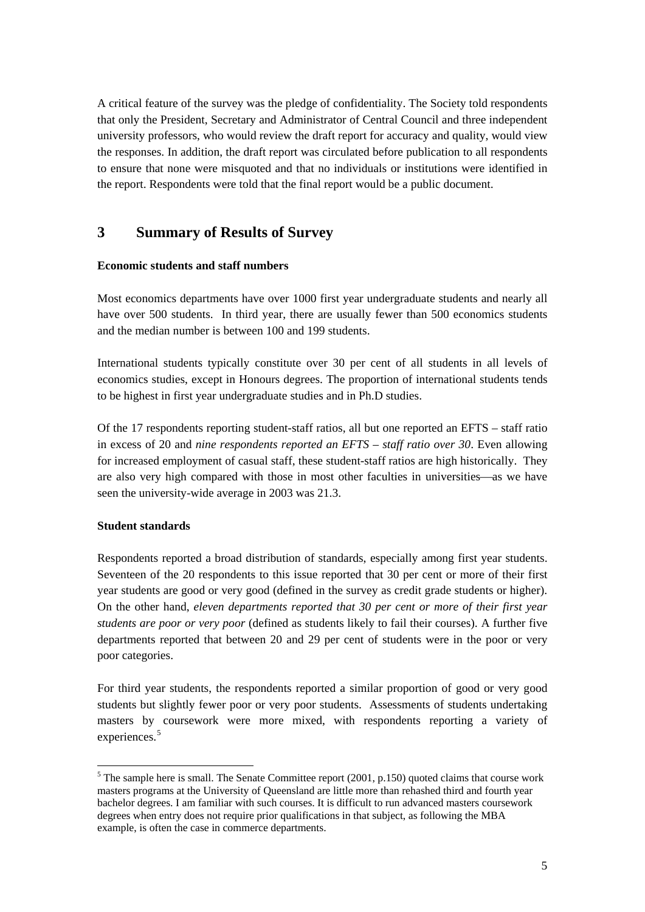A critical feature of the survey was the pledge of confidentiality. The Society told respondents that only the President, Secretary and Administrator of Central Council and three independent university professors, who would review the draft report for accuracy and quality, would view the responses. In addition, the draft report was circulated before publication to all respondents to ensure that none were misquoted and that no individuals or institutions were identified in the report. Respondents were told that the final report would be a public document.

# **3 Summary of Results of Survey**

### **Economic students and staff numbers**

Most economics departments have over 1000 first year undergraduate students and nearly all have over 500 students. In third year, there are usually fewer than 500 economics students and the median number is between 100 and 199 students.

International students typically constitute over 30 per cent of all students in all levels of economics studies, except in Honours degrees. The proportion of international students tends to be highest in first year undergraduate studies and in Ph.D studies.

Of the 17 respondents reporting student-staff ratios, all but one reported an EFTS – staff ratio in excess of 20 and *nine respondents reported an EFTS – staff ratio over 30*. Even allowing for increased employment of casual staff, these student-staff ratios are high historically. They are also very high compared with those in most other faculties in universities—as we have seen the university-wide average in 2003 was 21.3.

### **Student standards**

 $\overline{a}$ 

Respondents reported a broad distribution of standards, especially among first year students. Seventeen of the 20 respondents to this issue reported that 30 per cent or more of their first year students are good or very good (defined in the survey as credit grade students or higher). On the other hand, *eleven departments reported that 30 per cent or more of their first year students are poor or very poor* (defined as students likely to fail their courses). A further five departments reported that between 20 and 29 per cent of students were in the poor or very poor categories.

For third year students, the respondents reported a similar proportion of good or very good students but slightly fewer poor or very poor students. Assessments of students undertaking masters by coursework were more mixed, with respondents reporting a variety of experiences.<sup>[5](#page-4-0)</sup>

<span id="page-4-0"></span> $<sup>5</sup>$  The sample here is small. The Senate Committee report (2001, p.150) quoted claims that course work</sup> masters programs at the University of Queensland are little more than rehashed third and fourth year bachelor degrees. I am familiar with such courses. It is difficult to run advanced masters coursework degrees when entry does not require prior qualifications in that subject, as following the MBA example, is often the case in commerce departments.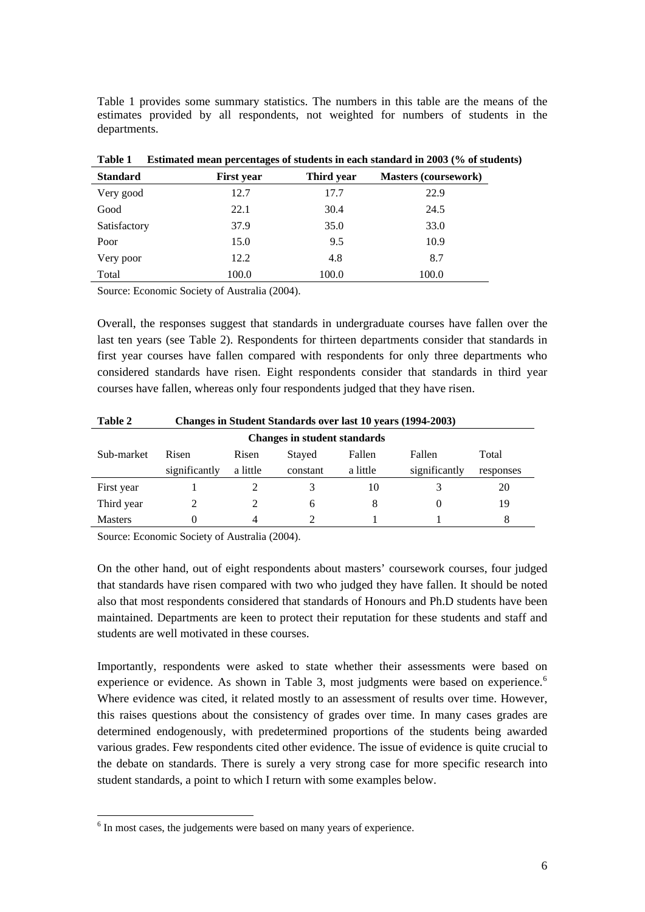Table 1 provides some summary statistics. The numbers in this table are the means of the estimates provided by all respondents, not weighted for numbers of students in the departments.

|                 | -                 |            |                             |
|-----------------|-------------------|------------|-----------------------------|
| <b>Standard</b> | <b>First year</b> | Third year | <b>Masters (coursework)</b> |
| Very good       | 12.7              | 17.7       | 22.9                        |
| Good            | 22.1              | 30.4       | 24.5                        |
| Satisfactory    | 37.9              | 35.0       | 33.0                        |
| Poor            | 15.0              | 9.5        | 10.9                        |
| Very poor       | 12.2              | 4.8        | 8.7                         |
| Total           | 100.0             | 100.0      | 100.0                       |

**Table 1 Estimated mean percentages of students in each standard in 2003 (% of students)** 

Source: Economic Society of Australia (2004).

Overall, the responses suggest that standards in undergraduate courses have fallen over the last ten years (see Table 2). Respondents for thirteen departments consider that standards in first year courses have fallen compared with respondents for only three departments who considered standards have risen. Eight respondents consider that standards in third year courses have fallen, whereas only four respondents judged that they have risen.

| Table 2                             | Changes in Student Standards over last 10 years (1994-2003) |          |          |          |               |           |  |  |
|-------------------------------------|-------------------------------------------------------------|----------|----------|----------|---------------|-----------|--|--|
| <b>Changes in student standards</b> |                                                             |          |          |          |               |           |  |  |
| Sub-market                          | Risen                                                       | Risen    | Stayed   | Fallen   | Fallen        | Total     |  |  |
|                                     | significantly                                               | a little | constant | a little | significantly | responses |  |  |
| First year                          |                                                             |          |          | 10       |               | 20        |  |  |
| Third year                          |                                                             |          | 6        | 8        | $\theta$      | 19        |  |  |
| <b>Masters</b>                      |                                                             | 4        |          |          |               | 8         |  |  |

Source: Economic Society of Australia (2004).

 $\overline{a}$ 

On the other hand, out of eight respondents about masters' coursework courses, four judged that standards have risen compared with two who judged they have fallen. It should be noted also that most respondents considered that standards of Honours and Ph.D students have been maintained. Departments are keen to protect their reputation for these students and staff and students are well motivated in these courses.

Importantly, respondents were asked to state whether their assessments were based on experience or evidence. As shown in Table 3, most judgments were based on experience.<sup>[6](#page-5-0)</sup> Where evidence was cited, it related mostly to an assessment of results over time. However, this raises questions about the consistency of grades over time. In many cases grades are determined endogenously, with predetermined proportions of the students being awarded various grades. Few respondents cited other evidence. The issue of evidence is quite crucial to the debate on standards. There is surely a very strong case for more specific research into student standards, a point to which I return with some examples below.

<span id="page-5-0"></span><sup>&</sup>lt;sup>6</sup> In most cases, the judgements were based on many years of experience.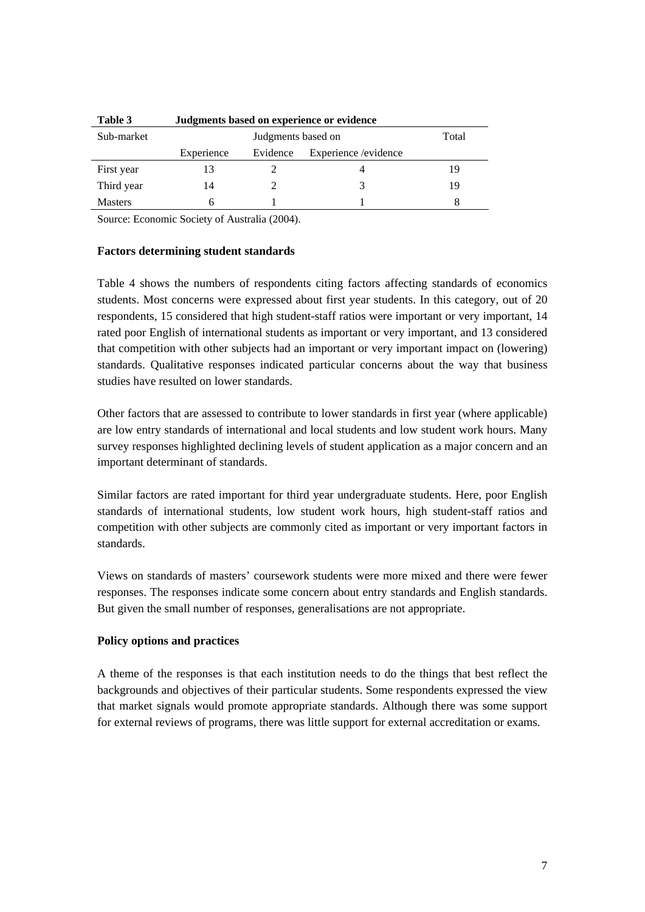| Table 3    | Judgments based on experience or evidence |          |                       |    |  |  |  |
|------------|-------------------------------------------|----------|-----------------------|----|--|--|--|
| Sub-market |                                           | Total    |                       |    |  |  |  |
|            | Experience                                | Evidence | Experience / evidence |    |  |  |  |
| First year | 13                                        |          |                       | 19 |  |  |  |
| Third year | 14                                        |          |                       | 19 |  |  |  |
| Masters    | n                                         |          |                       |    |  |  |  |

Source: Economic Society of Australia (2004).

#### **Factors determining student standards**

Table 4 shows the numbers of respondents citing factors affecting standards of economics students. Most concerns were expressed about first year students. In this category, out of 20 respondents, 15 considered that high student-staff ratios were important or very important, 14 rated poor English of international students as important or very important, and 13 considered that competition with other subjects had an important or very important impact on (lowering) standards. Qualitative responses indicated particular concerns about the way that business studies have resulted on lower standards.

Other factors that are assessed to contribute to lower standards in first year (where applicable) are low entry standards of international and local students and low student work hours. Many survey responses highlighted declining levels of student application as a major concern and an important determinant of standards.

Similar factors are rated important for third year undergraduate students. Here, poor English standards of international students, low student work hours, high student-staff ratios and competition with other subjects are commonly cited as important or very important factors in standards.

Views on standards of masters' coursework students were more mixed and there were fewer responses. The responses indicate some concern about entry standards and English standards. But given the small number of responses, generalisations are not appropriate.

#### **Policy options and practices**

A theme of the responses is that each institution needs to do the things that best reflect the backgrounds and objectives of their particular students. Some respondents expressed the view that market signals would promote appropriate standards. Although there was some support for external reviews of programs, there was little support for external accreditation or exams.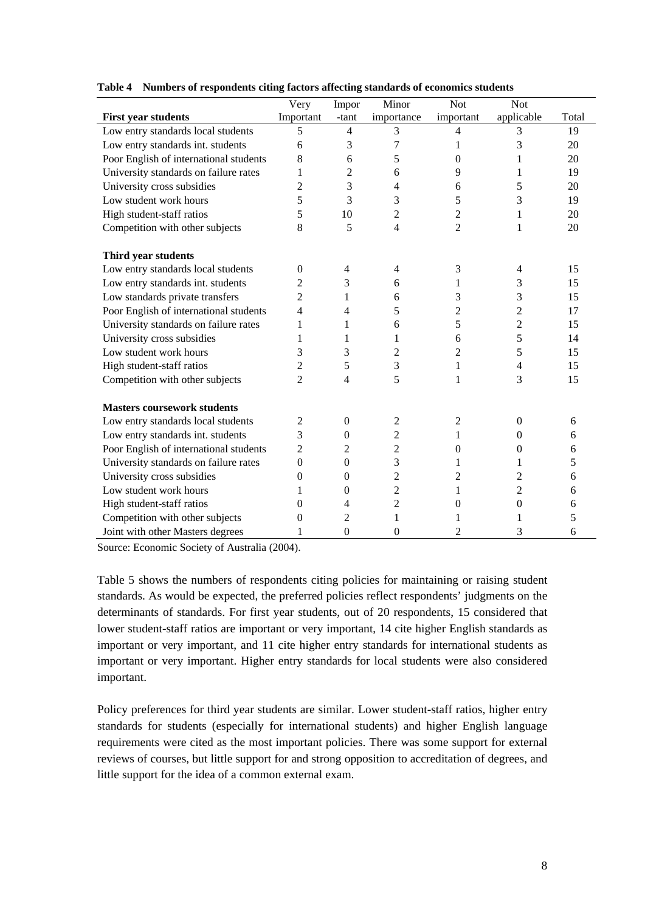|                                        | Very           | Impor          | Minor          | <b>Not</b>     | <b>Not</b>       |       |
|----------------------------------------|----------------|----------------|----------------|----------------|------------------|-------|
| <b>First year students</b>             | Important      | -tant          | importance     | important      | applicable       | Total |
| Low entry standards local students     | 5              | $\overline{4}$ | 3              | $\overline{4}$ | 3                | 19    |
| Low entry standards int. students      | 6              | 3              | 7              | 1              | 3                | 20    |
| Poor English of international students | 8              | 6              | 5              | 0              | 1                | 20    |
| University standards on failure rates  | 1              | $\overline{2}$ | 6              | 9              | 1                | 19    |
| University cross subsidies             | 2              | 3              | 4              | 6              | 5                | 20    |
| Low student work hours                 | 5              | 3              | 3              | 5              | 3                | 19    |
| High student-staff ratios              | 5              | 10             | 2              | $\overline{c}$ | 1                | 20    |
| Competition with other subjects        | 8              | 5              | 4              | $\overline{c}$ | 1                | 20    |
| Third year students                    |                |                |                |                |                  |       |
| Low entry standards local students     | $\theta$       | 4              | $\overline{4}$ | 3              | 4                | 15    |
| Low entry standards int. students      | 2              | 3              | 6              | 1              | 3                | 15    |
| Low standards private transfers        | 2              | 1              | 6              | 3              | 3                | 15    |
| Poor English of international students | 4              | 4              | 5              | 2              | 2                | 17    |
| University standards on failure rates  | 1              | 1              | 6              | 5              | $\overline{2}$   | 15    |
| University cross subsidies             | 1              | 1              | 1              | 6              | 5                | 14    |
| Low student work hours                 | 3              | 3              | 2              | 2              | 5                | 15    |
| High student-staff ratios              | 2              | 5              | 3              | 1              | 4                | 15    |
| Competition with other subjects        | $\overline{2}$ | 4              | 5              | 1              | 3                | 15    |
| <b>Masters coursework students</b>     |                |                |                |                |                  |       |
| Low entry standards local students     | 2              | $\overline{0}$ | $\overline{c}$ | 2              | $\mathbf{0}$     | 6     |
| Low entry standards int. students      | 3              | 0              | 2              | 1              | 0                | 6     |
| Poor English of international students | 2              | 2              | $\overline{c}$ | $\overline{0}$ | $\Omega$         | 6     |
| University standards on failure rates  | $\mathbf{0}$   | $\theta$       | 3              | 1              | 1                | 5     |
| University cross subsidies             | $\Omega$       | $\Omega$       | $\overline{c}$ | 2              | 2                | 6     |
| Low student work hours                 |                | $\Omega$       | $\overline{c}$ | 1              | 2                | 6     |
| High student-staff ratios              | 0              | $\overline{4}$ | 2              | 0              | $\boldsymbol{0}$ | 6     |
| Competition with other subjects        | $\Omega$       | 2              | 1              | 1              | 1                | 5     |
| Joint with other Masters degrees       |                | $\overline{0}$ | $\overline{0}$ | 2              | 3                | 6     |

### **Table 4 Numbers of respondents citing factors affecting standards of economics students**

Source: Economic Society of Australia (2004).

Table 5 shows the numbers of respondents citing policies for maintaining or raising student standards. As would be expected, the preferred policies reflect respondents' judgments on the determinants of standards. For first year students, out of 20 respondents, 15 considered that lower student-staff ratios are important or very important, 14 cite higher English standards as important or very important, and 11 cite higher entry standards for international students as important or very important. Higher entry standards for local students were also considered important.

Policy preferences for third year students are similar. Lower student-staff ratios, higher entry standards for students (especially for international students) and higher English language requirements were cited as the most important policies. There was some support for external reviews of courses, but little support for and strong opposition to accreditation of degrees, and little support for the idea of a common external exam.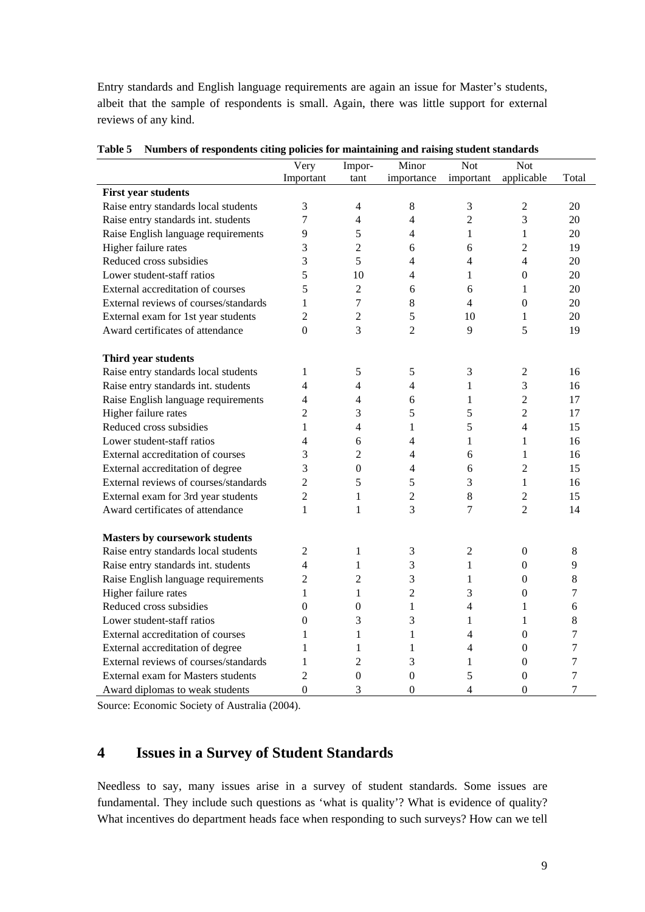Entry standards and English language requirements are again an issue for Master's students, albeit that the sample of respondents is small. Again, there was little support for external reviews of any kind.

| rannocro or respondenco etemp             | Very           | Impor-           | $\ddotsc$<br>Minor | <b>Not</b>     | <b>Not</b>       |                |
|-------------------------------------------|----------------|------------------|--------------------|----------------|------------------|----------------|
|                                           | Important      | tant             | importance         | important      | applicable       | Total          |
| <b>First year students</b>                |                |                  |                    |                |                  |                |
| Raise entry standards local students      | 3              | 4                | $\,8$              | $\mathfrak{Z}$ | $\mathfrak 2$    | 20             |
| Raise entry standards int. students       | 7              | 4                | 4                  | $\overline{2}$ | 3                | 20             |
| Raise English language requirements       | 9              | 5                | 4                  | 1              | $\mathbf{1}$     | 20             |
| Higher failure rates                      | 3              | $\overline{2}$   | 6                  | 6              | $\overline{2}$   | 19             |
| Reduced cross subsidies                   | 3              | 5                | 4                  | 4              | $\overline{4}$   | 20             |
| Lower student-staff ratios                | 5              | 10               | $\overline{4}$     | $\mathbf{1}$   | $\mathbf{0}$     | 20             |
| External accreditation of courses         | 5              | $\overline{2}$   | 6                  | 6              | 1                | 20             |
| External reviews of courses/standards     | 1              | $\overline{7}$   | 8                  | $\overline{4}$ | $\mathbf{0}$     | 20             |
| External exam for 1st year students       | $\overline{2}$ | $\overline{2}$   | 5                  | 10             | 1                | 20             |
| Award certificates of attendance          | $\Omega$       | 3                | $\overline{c}$     | 9              | 5                | 19             |
| Third year students                       |                |                  |                    |                |                  |                |
| Raise entry standards local students      | 1              | 5                | 5                  | 3              | 2                | 16             |
| Raise entry standards int. students       | 4              | $\overline{4}$   | $\overline{4}$     | $\mathbf{1}$   | 3                | 16             |
| Raise English language requirements       | 4              | 4                | 6                  | 1              | $\overline{2}$   | 17             |
| Higher failure rates                      | $\overline{2}$ | 3                | 5                  | 5              | $\overline{2}$   | 17             |
| Reduced cross subsidies                   | 1              | $\overline{4}$   | 1                  | 5              | $\overline{4}$   | 15             |
| Lower student-staff ratios                | 4              | 6                | 4                  | 1              | $\mathbf{1}$     | 16             |
| External accreditation of courses         | 3              | $\overline{2}$   | 4                  | 6              | $\mathbf{1}$     | 16             |
| External accreditation of degree          | 3              | $\boldsymbol{0}$ | 4                  | 6              | $\overline{2}$   | 15             |
| External reviews of courses/standards     | 2              | 5                | 5                  | 3              | 1                | 16             |
| External exam for 3rd year students       | $\overline{c}$ | 1                | $\overline{c}$     | 8              | $\overline{c}$   | 15             |
| Award certificates of attendance          | 1              | 1                | 3                  | 7              | $\overline{2}$   | 14             |
|                                           |                |                  |                    |                |                  |                |
| <b>Masters by coursework students</b>     |                |                  |                    |                |                  |                |
| Raise entry standards local students      | 2              | 1                | 3                  | $\overline{2}$ | $\theta$         | 8              |
| Raise entry standards int. students       | 4              | $\mathbf{1}$     | 3                  | 1              | $\boldsymbol{0}$ | 9              |
| Raise English language requirements       | $\overline{2}$ | $\overline{2}$   | 3                  | $\mathbf{1}$   | $\overline{0}$   | 8              |
| Higher failure rates                      | 1              | 1                | $\overline{c}$     | 3              | $\boldsymbol{0}$ | 7              |
| Reduced cross subsidies                   | $\theta$       | $\boldsymbol{0}$ | $\mathbf{1}$       | $\overline{4}$ | 1                | 6              |
| Lower student-staff ratios                | $\overline{0}$ | 3                | 3                  | 1              | 1                | 8              |
| External accreditation of courses         | 1              | 1                | 1                  | 4              | $\boldsymbol{0}$ | 7              |
| External accreditation of degree          | 1              | 1                | 1                  | 4              | $\theta$         | 7              |
| External reviews of courses/standards     | 1              | $\overline{2}$   | 3                  | 1              | $\boldsymbol{0}$ | $\overline{7}$ |
| <b>External exam for Masters students</b> | $\overline{2}$ | $\mathbf{0}$     | $\mathbf{0}$       | 5              | $\overline{0}$   | $\overline{7}$ |
| Award diplomas to weak students           | $\Omega$       | 3                | $\theta$           | $\overline{4}$ | $\theta$         | 7              |

|  |  | Table 5 Numbers of respondents citing policies for maintaining and raising student standards |
|--|--|----------------------------------------------------------------------------------------------|
|  |  |                                                                                              |

Source: Economic Society of Australia (2004).

### **4 Issues in a Survey of Student Standards**

Needless to say, many issues arise in a survey of student standards. Some issues are fundamental. They include such questions as 'what is quality'? What is evidence of quality? What incentives do department heads face when responding to such surveys? How can we tell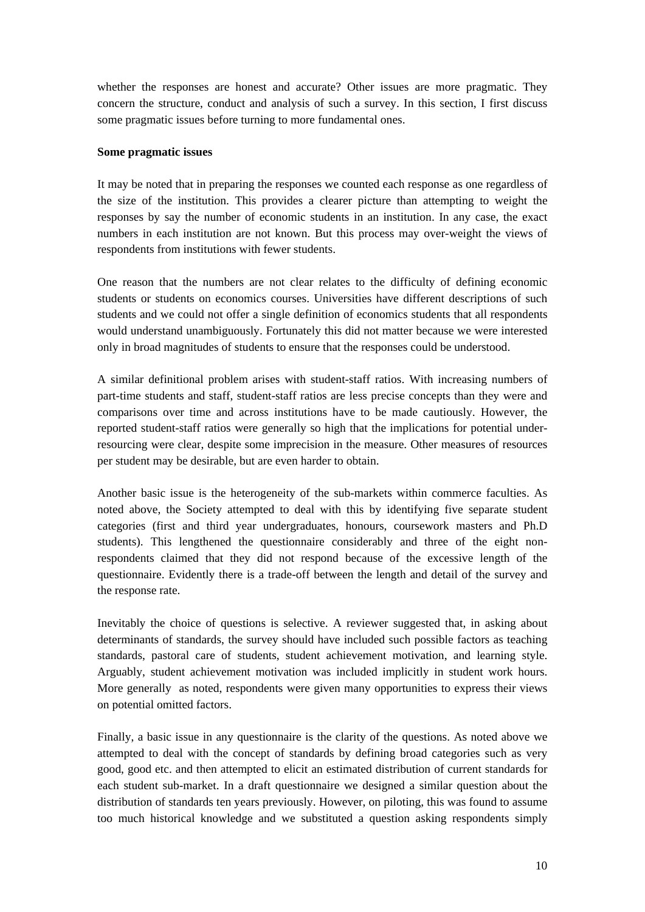whether the responses are honest and accurate? Other issues are more pragmatic. They concern the structure, conduct and analysis of such a survey. In this section, I first discuss some pragmatic issues before turning to more fundamental ones.

#### **Some pragmatic issues**

It may be noted that in preparing the responses we counted each response as one regardless of the size of the institution. This provides a clearer picture than attempting to weight the responses by say the number of economic students in an institution. In any case, the exact numbers in each institution are not known. But this process may over-weight the views of respondents from institutions with fewer students.

One reason that the numbers are not clear relates to the difficulty of defining economic students or students on economics courses. Universities have different descriptions of such students and we could not offer a single definition of economics students that all respondents would understand unambiguously. Fortunately this did not matter because we were interested only in broad magnitudes of students to ensure that the responses could be understood.

A similar definitional problem arises with student-staff ratios. With increasing numbers of part-time students and staff, student-staff ratios are less precise concepts than they were and comparisons over time and across institutions have to be made cautiously. However, the reported student-staff ratios were generally so high that the implications for potential underresourcing were clear, despite some imprecision in the measure. Other measures of resources per student may be desirable, but are even harder to obtain.

Another basic issue is the heterogeneity of the sub-markets within commerce faculties. As noted above, the Society attempted to deal with this by identifying five separate student categories (first and third year undergraduates, honours, coursework masters and Ph.D students). This lengthened the questionnaire considerably and three of the eight nonrespondents claimed that they did not respond because of the excessive length of the questionnaire. Evidently there is a trade-off between the length and detail of the survey and the response rate.

Inevitably the choice of questions is selective. A reviewer suggested that, in asking about determinants of standards, the survey should have included such possible factors as teaching standards, pastoral care of students, student achievement motivation, and learning style. Arguably, student achievement motivation was included implicitly in student work hours. More generally as noted, respondents were given many opportunities to express their views on potential omitted factors.

Finally, a basic issue in any questionnaire is the clarity of the questions. As noted above we attempted to deal with the concept of standards by defining broad categories such as very good, good etc. and then attempted to elicit an estimated distribution of current standards for each student sub-market. In a draft questionnaire we designed a similar question about the distribution of standards ten years previously. However, on piloting, this was found to assume too much historical knowledge and we substituted a question asking respondents simply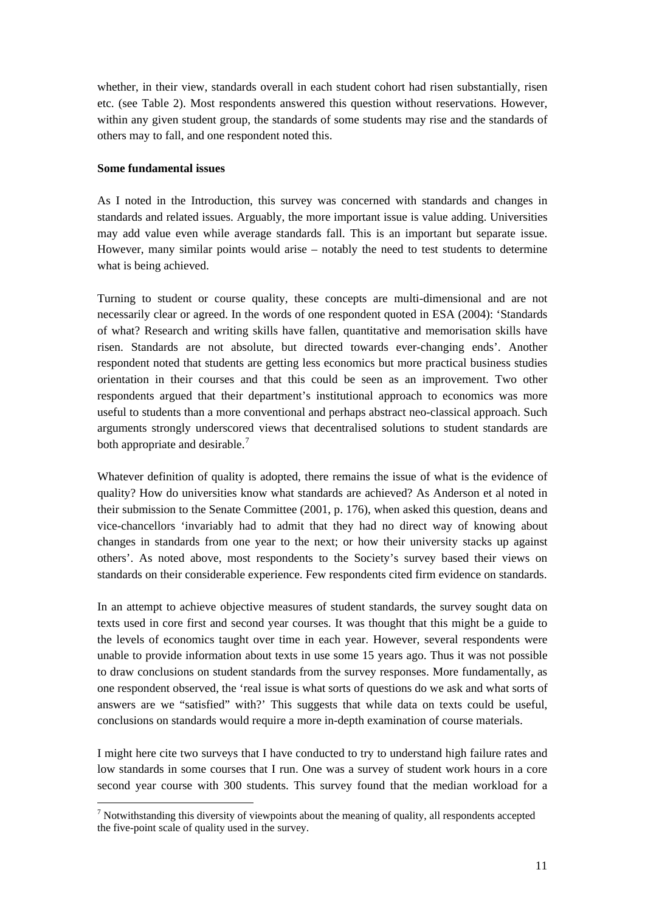whether, in their view, standards overall in each student cohort had risen substantially, risen etc. (see Table 2). Most respondents answered this question without reservations. However, within any given student group, the standards of some students may rise and the standards of others may to fall, and one respondent noted this.

#### **Some fundamental issues**

 $\overline{a}$ 

As I noted in the Introduction, this survey was concerned with standards and changes in standards and related issues. Arguably, the more important issue is value adding. Universities may add value even while average standards fall. This is an important but separate issue. However, many similar points would arise – notably the need to test students to determine what is being achieved.

Turning to student or course quality, these concepts are multi-dimensional and are not necessarily clear or agreed. In the words of one respondent quoted in ESA (2004): 'Standards of what? Research and writing skills have fallen, quantitative and memorisation skills have risen. Standards are not absolute, but directed towards ever-changing ends'. Another respondent noted that students are getting less economics but more practical business studies orientation in their courses and that this could be seen as an improvement. Two other respondents argued that their department's institutional approach to economics was more useful to students than a more conventional and perhaps abstract neo-classical approach. Such arguments strongly underscored views that decentralised solutions to student standards are both appropriate and desirable. $<sup>7</sup>$  $<sup>7</sup>$  $<sup>7</sup>$ </sup>

Whatever definition of quality is adopted, there remains the issue of what is the evidence of quality? How do universities know what standards are achieved? As Anderson et al noted in their submission to the Senate Committee (2001, p. 176), when asked this question, deans and vice-chancellors 'invariably had to admit that they had no direct way of knowing about changes in standards from one year to the next; or how their university stacks up against others'. As noted above, most respondents to the Society's survey based their views on standards on their considerable experience. Few respondents cited firm evidence on standards.

In an attempt to achieve objective measures of student standards, the survey sought data on texts used in core first and second year courses. It was thought that this might be a guide to the levels of economics taught over time in each year. However, several respondents were unable to provide information about texts in use some 15 years ago. Thus it was not possible to draw conclusions on student standards from the survey responses. More fundamentally, as one respondent observed, the 'real issue is what sorts of questions do we ask and what sorts of answers are we "satisfied" with?' This suggests that while data on texts could be useful, conclusions on standards would require a more in-depth examination of course materials.

I might here cite two surveys that I have conducted to try to understand high failure rates and low standards in some courses that I run. One was a survey of student work hours in a core second year course with 300 students. This survey found that the median workload for a

<span id="page-10-0"></span> $<sup>7</sup>$  Notwithstanding this diversity of viewpoints about the meaning of quality, all respondents accepted</sup> the five-point scale of quality used in the survey.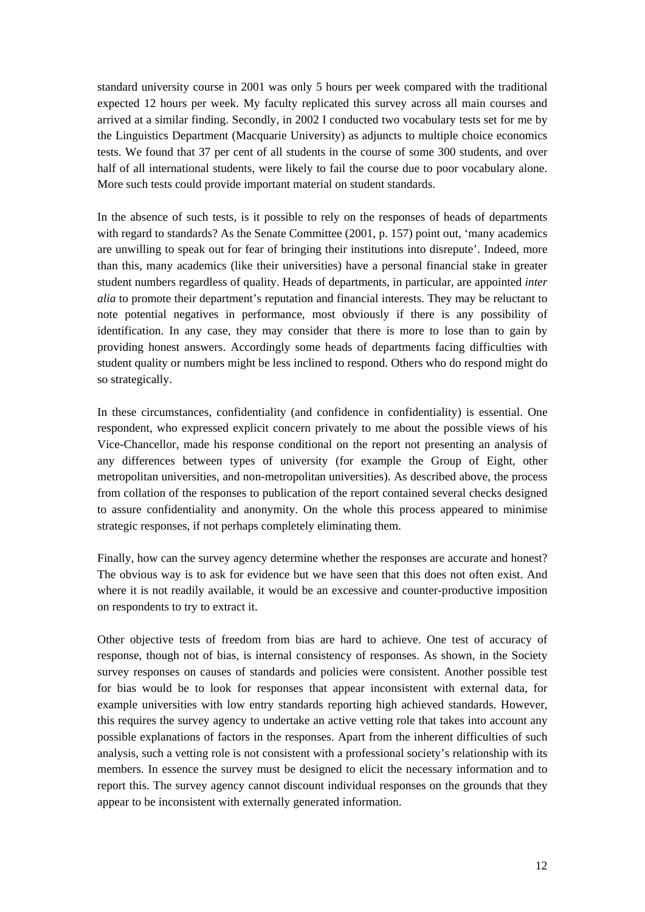standard university course in 2001 was only 5 hours per week compared with the traditional expected 12 hours per week. My faculty replicated this survey across all main courses and arrived at a similar finding. Secondly, in 2002 I conducted two vocabulary tests set for me by the Linguistics Department (Macquarie University) as adjuncts to multiple choice economics tests. We found that 37 per cent of all students in the course of some 300 students, and over half of all international students, were likely to fail the course due to poor vocabulary alone. More such tests could provide important material on student standards.

In the absence of such tests, is it possible to rely on the responses of heads of departments with regard to standards? As the Senate Committee (2001, p. 157) point out, 'many academics are unwilling to speak out for fear of bringing their institutions into disrepute'. Indeed, more than this, many academics (like their universities) have a personal financial stake in greater student numbers regardless of quality. Heads of departments, in particular, are appointed *inter alia* to promote their department's reputation and financial interests. They may be reluctant to note potential negatives in performance, most obviously if there is any possibility of identification. In any case, they may consider that there is more to lose than to gain by providing honest answers. Accordingly some heads of departments facing difficulties with student quality or numbers might be less inclined to respond. Others who do respond might do so strategically.

In these circumstances, confidentiality (and confidence in confidentiality) is essential. One respondent, who expressed explicit concern privately to me about the possible views of his Vice-Chancellor, made his response conditional on the report not presenting an analysis of any differences between types of university (for example the Group of Eight, other metropolitan universities, and non-metropolitan universities). As described above, the process from collation of the responses to publication of the report contained several checks designed to assure confidentiality and anonymity. On the whole this process appeared to minimise strategic responses, if not perhaps completely eliminating them.

Finally, how can the survey agency determine whether the responses are accurate and honest? The obvious way is to ask for evidence but we have seen that this does not often exist. And where it is not readily available, it would be an excessive and counter-productive imposition on respondents to try to extract it.

Other objective tests of freedom from bias are hard to achieve. One test of accuracy of response, though not of bias, is internal consistency of responses. As shown, in the Society survey responses on causes of standards and policies were consistent. Another possible test for bias would be to look for responses that appear inconsistent with external data, for example universities with low entry standards reporting high achieved standards. However, this requires the survey agency to undertake an active vetting role that takes into account any possible explanations of factors in the responses. Apart from the inherent difficulties of such analysis, such a vetting role is not consistent with a professional society's relationship with its members. In essence the survey must be designed to elicit the necessary information and to report this. The survey agency cannot discount individual responses on the grounds that they appear to be inconsistent with externally generated information.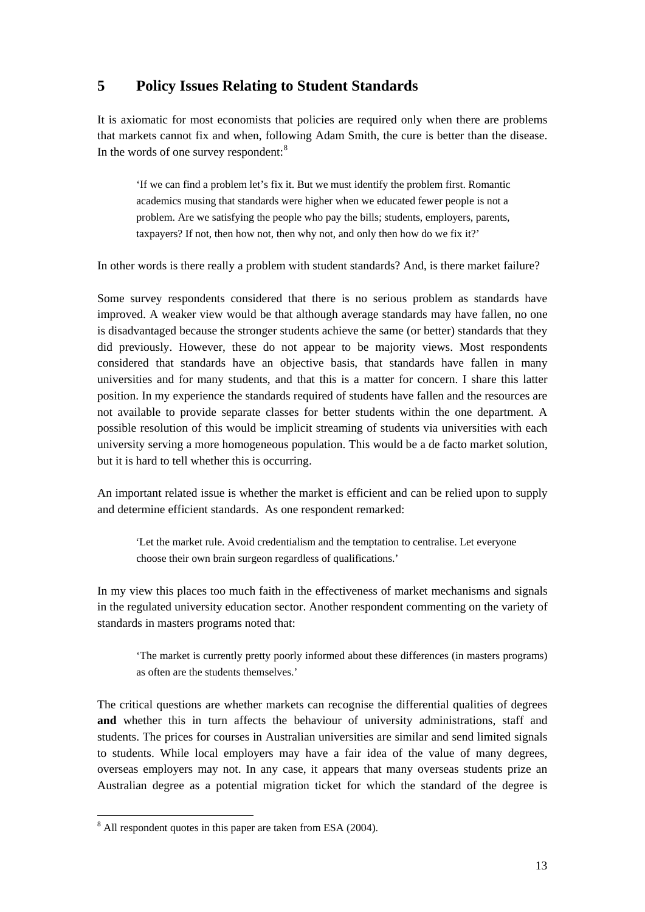# **5 Policy Issues Relating to Student Standards**

It is axiomatic for most economists that policies are required only when there are problems that markets cannot fix and when, following Adam Smith, the cure is better than the disease. In the words of one survey respondent:<sup>[8](#page-12-0)</sup>

'If we can find a problem let's fix it. But we must identify the problem first. Romantic academics musing that standards were higher when we educated fewer people is not a problem. Are we satisfying the people who pay the bills; students, employers, parents, taxpayers? If not, then how not, then why not, and only then how do we fix it?'

In other words is there really a problem with student standards? And, is there market failure?

Some survey respondents considered that there is no serious problem as standards have improved. A weaker view would be that although average standards may have fallen, no one is disadvantaged because the stronger students achieve the same (or better) standards that they did previously. However, these do not appear to be majority views. Most respondents considered that standards have an objective basis, that standards have fallen in many universities and for many students, and that this is a matter for concern. I share this latter position. In my experience the standards required of students have fallen and the resources are not available to provide separate classes for better students within the one department. A possible resolution of this would be implicit streaming of students via universities with each university serving a more homogeneous population. This would be a de facto market solution, but it is hard to tell whether this is occurring.

An important related issue is whether the market is efficient and can be relied upon to supply and determine efficient standards. As one respondent remarked:

'Let the market rule. Avoid credentialism and the temptation to centralise. Let everyone choose their own brain surgeon regardless of qualifications.'

In my view this places too much faith in the effectiveness of market mechanisms and signals in the regulated university education sector. Another respondent commenting on the variety of standards in masters programs noted that:

'The market is currently pretty poorly informed about these differences (in masters programs) as often are the students themselves.'

The critical questions are whether markets can recognise the differential qualities of degrees **and** whether this in turn affects the behaviour of university administrations, staff and students. The prices for courses in Australian universities are similar and send limited signals to students. While local employers may have a fair idea of the value of many degrees, overseas employers may not. In any case, it appears that many overseas students prize an Australian degree as a potential migration ticket for which the standard of the degree is

 $\overline{a}$ 

<span id="page-12-0"></span><sup>&</sup>lt;sup>8</sup> All respondent quotes in this paper are taken from ESA (2004).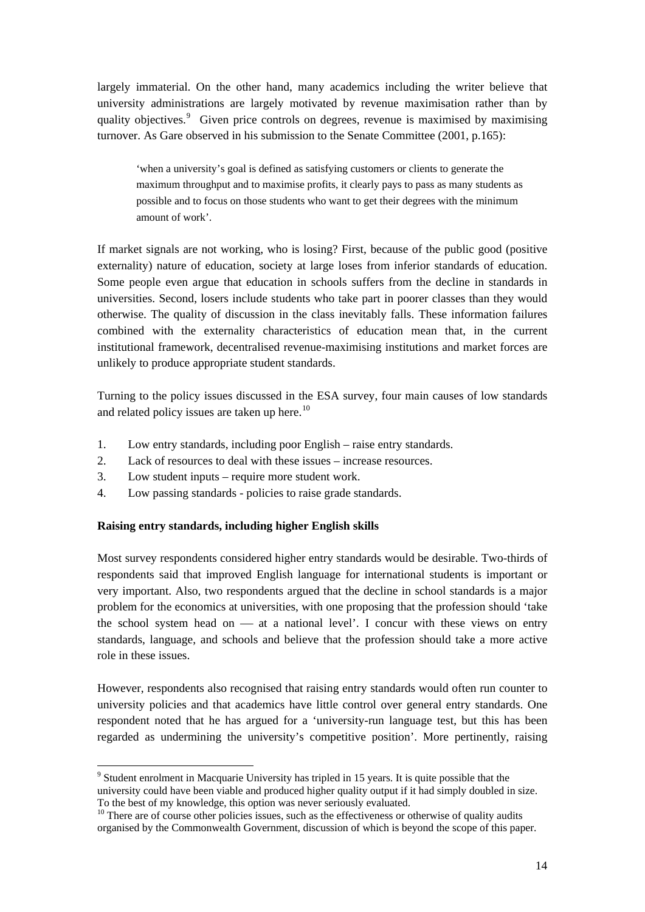largely immaterial. On the other hand, many academics including the writer believe that university administrations are largely motivated by revenue maximisation rather than by quality objectives.<sup>[9](#page-13-0)</sup> Given price controls on degrees, revenue is maximised by maximising turnover. As Gare observed in his submission to the Senate Committee (2001, p.165):

'when a university's goal is defined as satisfying customers or clients to generate the maximum throughput and to maximise profits, it clearly pays to pass as many students as possible and to focus on those students who want to get their degrees with the minimum amount of work'.

If market signals are not working, who is losing? First, because of the public good (positive externality) nature of education, society at large loses from inferior standards of education. Some people even argue that education in schools suffers from the decline in standards in universities. Second, losers include students who take part in poorer classes than they would otherwise. The quality of discussion in the class inevitably falls. These information failures combined with the externality characteristics of education mean that, in the current institutional framework, decentralised revenue-maximising institutions and market forces are unlikely to produce appropriate student standards.

Turning to the policy issues discussed in the ESA survey, four main causes of low standards and related policy issues are taken up here.<sup>[10](#page-13-1)</sup>

- 1. Low entry standards, including poor English raise entry standards.
- 2. Lack of resources to deal with these issues increase resources.
- 3. Low student inputs require more student work.
- 4. Low passing standards policies to raise grade standards.

#### **Raising entry standards, including higher English skills**

 $\overline{a}$ 

Most survey respondents considered higher entry standards would be desirable. Two-thirds of respondents said that improved English language for international students is important or very important. Also, two respondents argued that the decline in school standards is a major problem for the economics at universities, with one proposing that the profession should 'take the school system head on  $\frac{1}{x}$  at a national level'. I concur with these views on entry standards, language, and schools and believe that the profession should take a more active role in these issues.

However, respondents also recognised that raising entry standards would often run counter to university policies and that academics have little control over general entry standards. One respondent noted that he has argued for a 'university-run language test, but this has been regarded as undermining the university's competitive position'. More pertinently, raising

<span id="page-13-0"></span><sup>&</sup>lt;sup>9</sup> Student enrolment in Macquarie University has tripled in 15 years. It is quite possible that the university could have been viable and produced higher quality output if it had simply doubled in size. To the best of my knowledge, this option was never seriously evaluated.

<span id="page-13-1"></span><sup>&</sup>lt;sup>10</sup> There are of course other policies issues, such as the effectiveness or otherwise of quality audits organised by the Commonwealth Government, discussion of which is beyond the scope of this paper.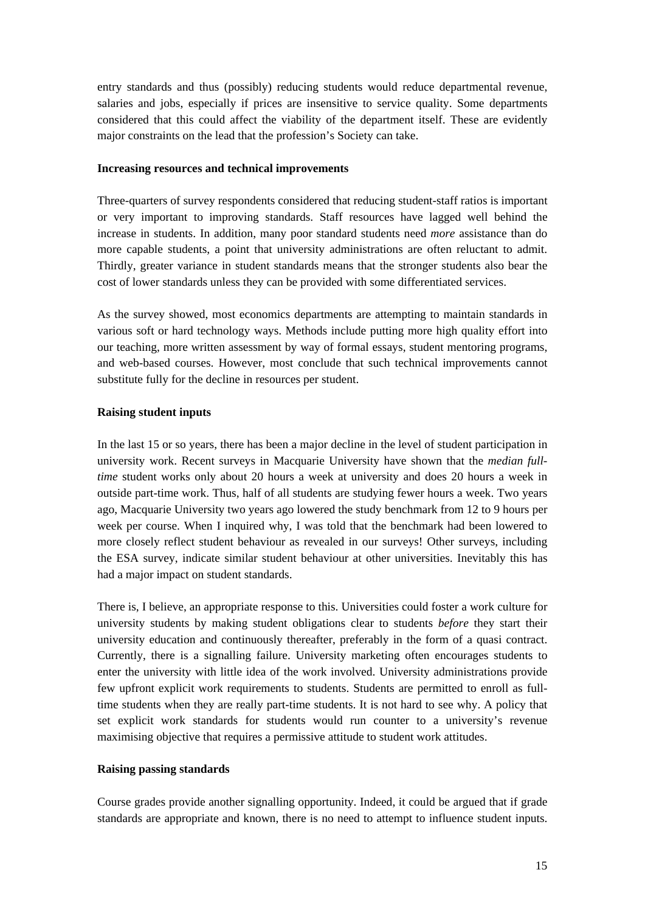entry standards and thus (possibly) reducing students would reduce departmental revenue, salaries and jobs, especially if prices are insensitive to service quality. Some departments considered that this could affect the viability of the department itself. These are evidently major constraints on the lead that the profession's Society can take.

#### **Increasing resources and technical improvements**

Three-quarters of survey respondents considered that reducing student-staff ratios is important or very important to improving standards. Staff resources have lagged well behind the increase in students. In addition, many poor standard students need *more* assistance than do more capable students, a point that university administrations are often reluctant to admit. Thirdly, greater variance in student standards means that the stronger students also bear the cost of lower standards unless they can be provided with some differentiated services.

As the survey showed, most economics departments are attempting to maintain standards in various soft or hard technology ways. Methods include putting more high quality effort into our teaching, more written assessment by way of formal essays, student mentoring programs, and web-based courses. However, most conclude that such technical improvements cannot substitute fully for the decline in resources per student.

#### **Raising student inputs**

In the last 15 or so years, there has been a major decline in the level of student participation in university work. Recent surveys in Macquarie University have shown that the *median fulltime* student works only about 20 hours a week at university and does 20 hours a week in outside part-time work. Thus, half of all students are studying fewer hours a week. Two years ago, Macquarie University two years ago lowered the study benchmark from 12 to 9 hours per week per course. When I inquired why, I was told that the benchmark had been lowered to more closely reflect student behaviour as revealed in our surveys! Other surveys, including the ESA survey, indicate similar student behaviour at other universities. Inevitably this has had a major impact on student standards.

There is, I believe, an appropriate response to this. Universities could foster a work culture for university students by making student obligations clear to students *before* they start their university education and continuously thereafter, preferably in the form of a quasi contract. Currently, there is a signalling failure. University marketing often encourages students to enter the university with little idea of the work involved. University administrations provide few upfront explicit work requirements to students. Students are permitted to enroll as fulltime students when they are really part-time students. It is not hard to see why. A policy that set explicit work standards for students would run counter to a university's revenue maximising objective that requires a permissive attitude to student work attitudes.

#### **Raising passing standards**

Course grades provide another signalling opportunity. Indeed, it could be argued that if grade standards are appropriate and known, there is no need to attempt to influence student inputs.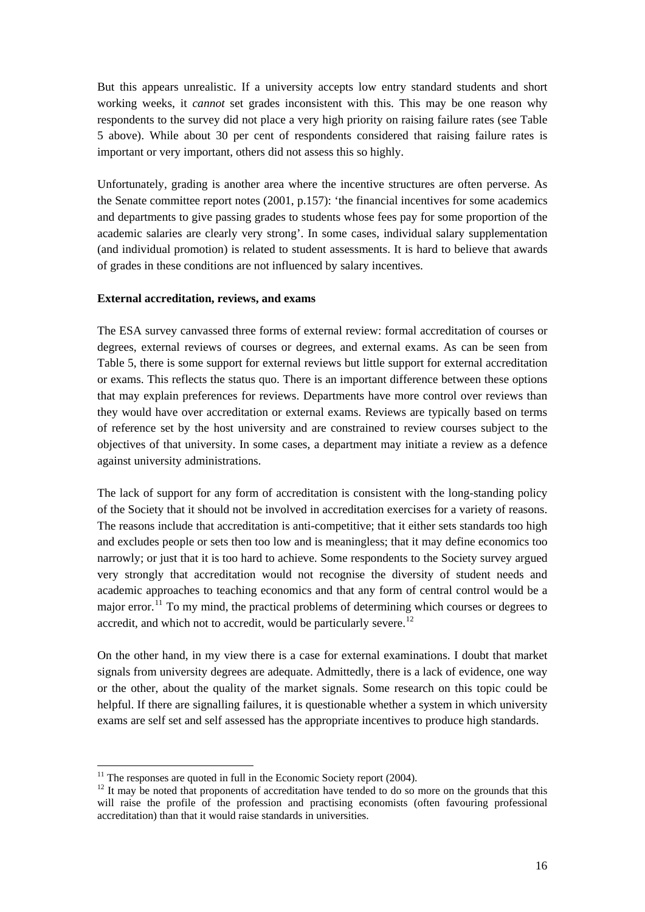But this appears unrealistic. If a university accepts low entry standard students and short working weeks, it *cannot* set grades inconsistent with this. This may be one reason why respondents to the survey did not place a very high priority on raising failure rates (see Table 5 above). While about 30 per cent of respondents considered that raising failure rates is important or very important, others did not assess this so highly.

Unfortunately, grading is another area where the incentive structures are often perverse. As the Senate committee report notes (2001, p.157): 'the financial incentives for some academics and departments to give passing grades to students whose fees pay for some proportion of the academic salaries are clearly very strong'. In some cases, individual salary supplementation (and individual promotion) is related to student assessments. It is hard to believe that awards of grades in these conditions are not influenced by salary incentives.

#### **External accreditation, reviews, and exams**

The ESA survey canvassed three forms of external review: formal accreditation of courses or degrees, external reviews of courses or degrees, and external exams. As can be seen from Table 5, there is some support for external reviews but little support for external accreditation or exams. This reflects the status quo. There is an important difference between these options that may explain preferences for reviews. Departments have more control over reviews than they would have over accreditation or external exams. Reviews are typically based on terms of reference set by the host university and are constrained to review courses subject to the objectives of that university. In some cases, a department may initiate a review as a defence against university administrations.

The lack of support for any form of accreditation is consistent with the long-standing policy of the Society that it should not be involved in accreditation exercises for a variety of reasons. The reasons include that accreditation is anti-competitive; that it either sets standards too high and excludes people or sets then too low and is meaningless; that it may define economics too narrowly; or just that it is too hard to achieve. Some respondents to the Society survey argued very strongly that accreditation would not recognise the diversity of student needs and academic approaches to teaching economics and that any form of central control would be a major error.<sup>[11](#page-15-0)</sup> To my mind, the practical problems of determining which courses or degrees to accredit, and which not to accredit, would be particularly severe.<sup>[12](#page-15-1)</sup>

On the other hand, in my view there is a case for external examinations. I doubt that market signals from university degrees are adequate. Admittedly, there is a lack of evidence, one way or the other, about the quality of the market signals. Some research on this topic could be helpful. If there are signalling failures, it is questionable whether a system in which university exams are self set and self assessed has the appropriate incentives to produce high standards.

 $\overline{a}$ 

 $11$  The responses are quoted in full in the Economic Society report (2004).

<span id="page-15-1"></span><span id="page-15-0"></span> $12$  It may be noted that proponents of accreditation have tended to do so more on the grounds that this will raise the profile of the profession and practising economists (often favouring professional accreditation) than that it would raise standards in universities.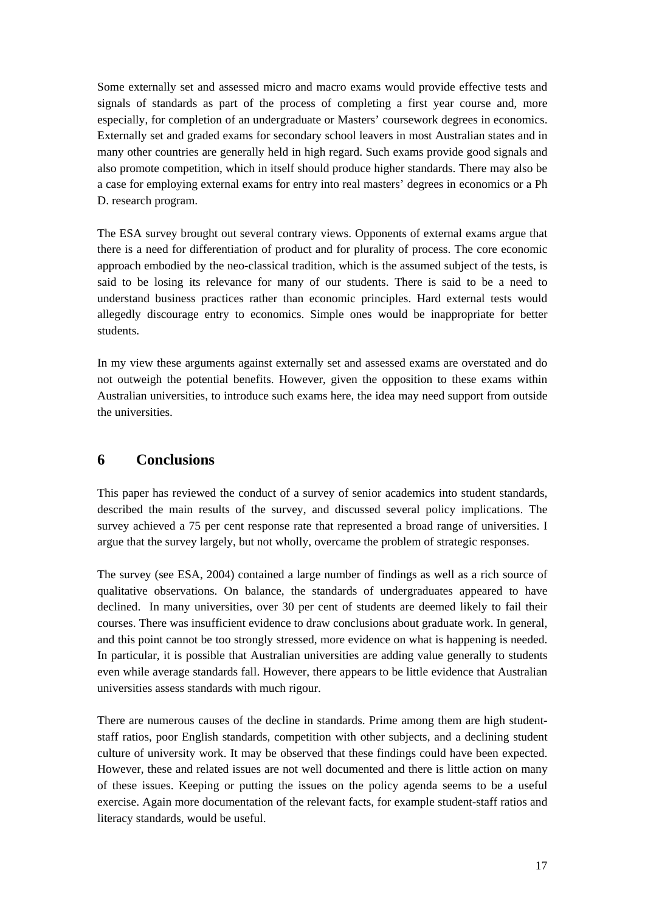Some externally set and assessed micro and macro exams would provide effective tests and signals of standards as part of the process of completing a first year course and, more especially, for completion of an undergraduate or Masters' coursework degrees in economics. Externally set and graded exams for secondary school leavers in most Australian states and in many other countries are generally held in high regard. Such exams provide good signals and also promote competition, which in itself should produce higher standards. There may also be a case for employing external exams for entry into real masters' degrees in economics or a Ph D. research program.

The ESA survey brought out several contrary views. Opponents of external exams argue that there is a need for differentiation of product and for plurality of process. The core economic approach embodied by the neo-classical tradition, which is the assumed subject of the tests, is said to be losing its relevance for many of our students. There is said to be a need to understand business practices rather than economic principles. Hard external tests would allegedly discourage entry to economics. Simple ones would be inappropriate for better students.

In my view these arguments against externally set and assessed exams are overstated and do not outweigh the potential benefits. However, given the opposition to these exams within Australian universities, to introduce such exams here, the idea may need support from outside the universities.

# **6 Conclusions**

This paper has reviewed the conduct of a survey of senior academics into student standards, described the main results of the survey, and discussed several policy implications. The survey achieved a 75 per cent response rate that represented a broad range of universities. I argue that the survey largely, but not wholly, overcame the problem of strategic responses.

The survey (see ESA, 2004) contained a large number of findings as well as a rich source of qualitative observations. On balance, the standards of undergraduates appeared to have declined. In many universities, over 30 per cent of students are deemed likely to fail their courses. There was insufficient evidence to draw conclusions about graduate work. In general, and this point cannot be too strongly stressed, more evidence on what is happening is needed. In particular, it is possible that Australian universities are adding value generally to students even while average standards fall. However, there appears to be little evidence that Australian universities assess standards with much rigour.

There are numerous causes of the decline in standards. Prime among them are high studentstaff ratios, poor English standards, competition with other subjects, and a declining student culture of university work. It may be observed that these findings could have been expected. However, these and related issues are not well documented and there is little action on many of these issues. Keeping or putting the issues on the policy agenda seems to be a useful exercise. Again more documentation of the relevant facts, for example student-staff ratios and literacy standards, would be useful.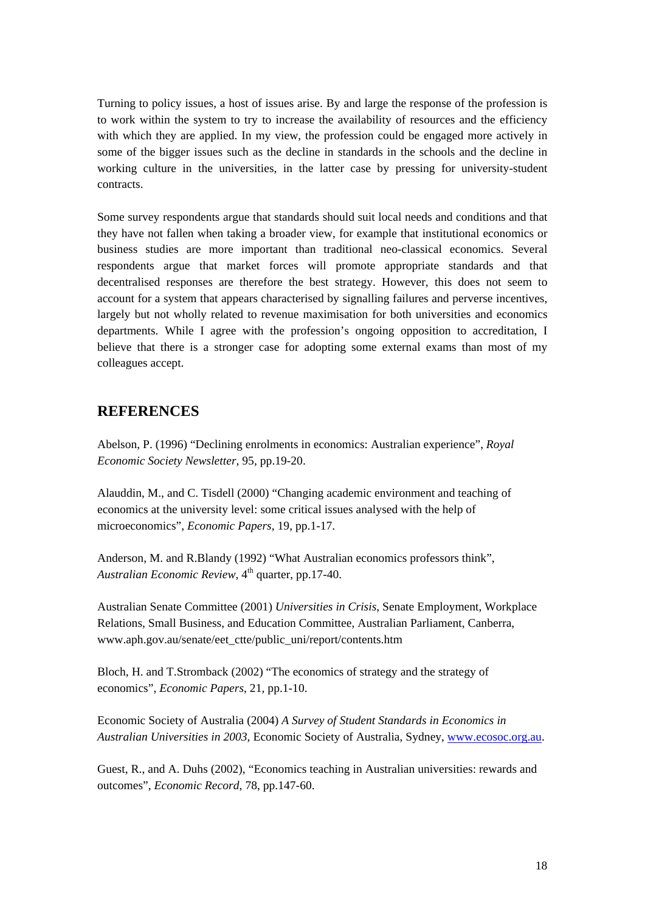Turning to policy issues, a host of issues arise. By and large the response of the profession is to work within the system to try to increase the availability of resources and the efficiency with which they are applied. In my view, the profession could be engaged more actively in some of the bigger issues such as the decline in standards in the schools and the decline in working culture in the universities, in the latter case by pressing for university-student contracts.

Some survey respondents argue that standards should suit local needs and conditions and that they have not fallen when taking a broader view, for example that institutional economics or business studies are more important than traditional neo-classical economics. Several respondents argue that market forces will promote appropriate standards and that decentralised responses are therefore the best strategy. However, this does not seem to account for a system that appears characterised by signalling failures and perverse incentives, largely but not wholly related to revenue maximisation for both universities and economics departments. While I agree with the profession's ongoing opposition to accreditation, I believe that there is a stronger case for adopting some external exams than most of my colleagues accept.

### **REFERENCES**

Abelson, P. (1996) "Declining enrolments in economics: Australian experience", *Royal Economic Society Newsletter*, 95, pp.19-20.

Alauddin, M., and C. Tisdell (2000) "Changing academic environment and teaching of economics at the university level: some critical issues analysed with the help of microeconomics", *Economic Papers*, 19, pp.1-17.

Anderson, M. and R.Blandy (1992) "What Australian economics professors think", *Australian Economic Review*, 4<sup>th</sup> quarter, pp.17-40.

Australian Senate Committee (2001) *Universities in Crisis*, Senate Employment, Workplace Relations, Small Business, and Education Committee, Australian Parliament, Canberra, www.aph.gov.au/senate/eet\_ctte/public\_uni/report/contents.htm

Bloch, H. and T.Stromback (2002) "The economics of strategy and the strategy of economics", *Economic Papers*, 21, pp.1-10.

Economic Society of Australia (2004) *A Survey of Student Standards in Economics in Australian Universities in 2003*, Economic Society of Australia, Sydney, [www.ecosoc.org.au](http://www.ecosoc.org.au/).

Guest, R., and A. Duhs (2002), "Economics teaching in Australian universities: rewards and outcomes", *Economic Record*, 78, pp.147-60.